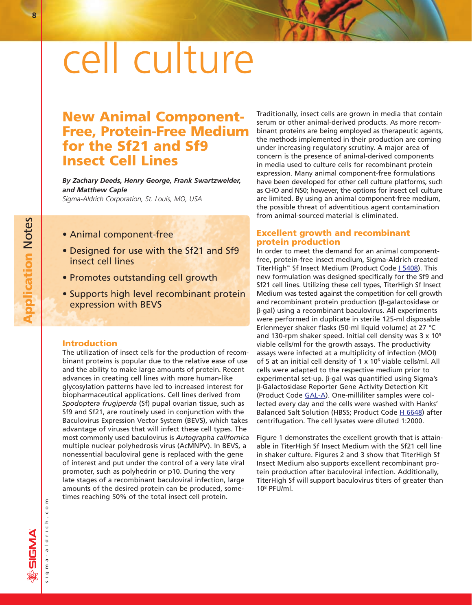# cell culture

# **New Animal Component-Free, Protein-Free Medium for the Sf21 and Sf9 Insect Cell Lines**

*By Zachary Deeds, Henry George, Frank Swartzwelder, and Matthew Caple*

*Sigma-Aldrich Corporation, St. Louis, MO, USA*

- Animal component-free
- Designed for use with the Sf21 and Sf9 insect cell lines
- Promotes outstanding cell growth
- Supports high level recombinant protein expression with BEVS

#### **Introduction**

The utilization of insect cells for the production of recombinant proteins is popular due to the relative ease of use and the ability to make large amounts of protein. Recent advances in creating cell lines with more human-like glycosylation patterns have led to increased interest for biopharmaceutical applications. Cell lines derived from *Spodoptera frugiperda* (Sf) pupal ovarian tissue, such as Sf9 and Sf21, are routinely used in conjunction with the Baculovirus Expression Vector System (BEVS), which takes advantage of viruses that will infect these cell types. The most commonly used baculovirus is *Autographa californica* multiple nuclear polyhedrosis virus (AcMNPV). In BEVS, a nonessential baculoviral gene is replaced with the gene of interest and put under the control of a very late viral promoter, such as polyhedrin or p10. During the very late stages of a recombinant baculoviral infection, large amounts of the desired protein can be produced, sometimes reaching 50% of the total insect cell protein.

Traditionally, insect cells are grown in media that contain serum or other animal-derived products. As more recombinant proteins are being employed as therapeutic agents, the methods implemented in their production are coming under increasing regulatory scrutiny. A major area of concern is the presence of animal-derived components in media used to culture cells for recombinant protein expression. Many animal component-free formulations have been developed for other cell culture platforms, such as CHO and NS0; however, the options for insect cell culture are limited. By using an animal component-free medium, the possible threat of adventitious agent contamination from animal-sourced material is eliminated.

## **Excellent growth and recombinant protein production**

In order to meet the demand for an animal componentfree, protein-free insect medium, Sigma-Aldrich created TiterHigh™ Sf Insect Medium (Product Cod[e I 5408\).](http://www.sigma-aldrich.com/ProductLookup.html?ProdNo=I5408&Brand=SIGMA) This new formulation was designed specifically for the Sf9 and Sf21 cell lines. Utilizing these cell types, TiterHigh Sf Insect Medium was tested against the competition for cell growth and recombinant protein production ( $\beta$ -galactosidase or b-gal) using a recombinant baculovirus. All experiments were performed in duplicate in sterile 125-ml disposable Erlenmeyer shaker flasks (50-ml liquid volume) at 27 °C and 130-rpm shaker speed. Initial cell density was 3 x 105 viable cells/ml for the growth assays. The productivity assays were infected at a multiplicity of infection (MOI) of 5 at an initial cell density of 1 x 10<sup>6</sup> viable cells/ml. All cells were adapted to the respective medium prior to experimental set-up.  $\beta$ -gal was quantified using Sigma's b-Galactosidase Reporter Gene Activity Detection Kit (Product Code [GAL-A\).](http://www.sigma-aldrich.com/ProductLookup.html?ProdNo=GALA&Brand=SIGMA) One-milliliter samples were collected every day and the cells were washed with Hanks' Balanced Salt Solution (HBSS; Product Cod[e H 6648\)](http://www.sigma-aldrich.com/ProductLookup.html?ProdNo=H6648&Brand=SIGMA) after centrifugation. The cell lysates were diluted 1:2000.

Figure 1 demonstrates the excellent growth that is attainable in TiterHigh Sf Insect Medium with the Sf21 cell line in shaker culture. Figures 2 and 3 show that TiterHigh Sf Insect Medium also supports excellent recombinant protein production after baculoviral infection. Additionally, TiterHigh Sf will support baculovirus titers of greater than 108 PFU/ml.

**Application Notes Application** Notes

sigma-aldrich.com

sigma-aldrich.co

 $\epsilon$